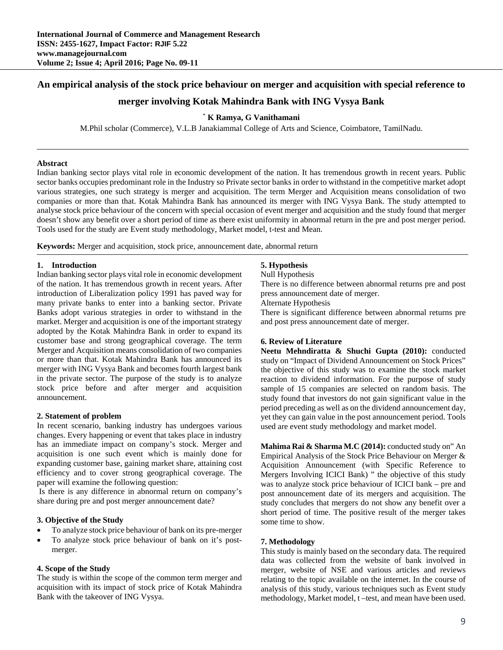# **An empirical analysis of the stock price behaviour on merger and acquisition with special reference to**

# **merger involving Kotak Mahindra Bank with ING Vysya Bank**

## \* **K Ramya, G Vanithamani**

M.Phil scholar (Commerce), V.L.B Janakiammal College of Arts and Science, Coimbatore, TamilNadu.

### **Abstract**

Indian banking sector plays vital role in economic development of the nation. It has tremendous growth in recent years. Public sector banks occupies predominant role in the Industry so Private sector banks in order to withstand in the competitive market adopt various strategies, one such strategy is merger and acquisition. The term Merger and Acquisition means consolidation of two companies or more than that. Kotak Mahindra Bank has announced its merger with ING Vysya Bank. The study attempted to analyse stock price behaviour of the concern with special occasion of event merger and acquisition and the study found that merger doesn't show any benefit over a short period of time as there exist uniformity in abnormal return in the pre and post merger period. Tools used for the study are Event study methodology, Market model, t-test and Mean.

**Keywords:** Merger and acquisition, stock price, announcement date, abnormal return

#### **1. Introduction**

Indian banking sector plays vital role in economic development of the nation. It has tremendous growth in recent years. After introduction of Liberalization policy 1991 has paved way for many private banks to enter into a banking sector. Private Banks adopt various strategies in order to withstand in the market. Merger and acquisition is one of the important strategy adopted by the Kotak Mahindra Bank in order to expand its customer base and strong geographical coverage. The term Merger and Acquisition means consolidation of two companies or more than that. Kotak Mahindra Bank has announced its merger with ING Vysya Bank and becomes fourth largest bank in the private sector. The purpose of the study is to analyze stock price before and after merger and acquisition announcement.

#### **2. Statement of problem**

In recent scenario, banking industry has undergoes various changes. Every happening or event that takes place in industry has an immediate impact on company's stock. Merger and acquisition is one such event which is mainly done for expanding customer base, gaining market share, attaining cost efficiency and to cover strong geographical coverage. The paper will examine the following question:

 Is there is any difference in abnormal return on company's share during pre and post merger announcement date?

### **3. Objective of the Study**

- To analyze stock price behaviour of bank on its pre-merger
- To analyze stock price behaviour of bank on it's postmerger.

## **4. Scope of the Study**

The study is within the scope of the common term merger and acquisition with its impact of stock price of Kotak Mahindra Bank with the takeover of ING Vysya.

### **5. Hypothesis**

Null Hypothesis

There is no difference between abnormal returns pre and post press announcement date of merger.

Alternate Hypothesis

There is significant difference between abnormal returns pre and post press announcement date of merger.

### **6. Review of Literature**

**Neetu Mehndiratta & Shuchi Gupta (2010):** conducted study on "Impact of Dividend Announcement on Stock Prices" the objective of this study was to examine the stock market reaction to dividend information. For the purpose of study sample of 15 companies are selected on random basis. The study found that investors do not gain significant value in the period preceding as well as on the dividend announcement day, yet they can gain value in the post announcement period. Tools used are event study methodology and market model.

**Mahima Rai & Sharma M.C (2014):** conducted study on" An Empirical Analysis of the Stock Price Behaviour on Merger & Acquisition Announcement (with Specific Reference to Mergers Involving ICICI Bank) " the objective of this study was to analyze stock price behaviour of ICICI bank – pre and post announcement date of its mergers and acquisition. The study concludes that mergers do not show any benefit over a short period of time. The positive result of the merger takes some time to show.

### **7. Methodology**

This study is mainly based on the secondary data. The required data was collected from the website of bank involved in merger, website of NSE and various articles and reviews relating to the topic available on the internet. In the course of analysis of this study, various techniques such as Event study methodology, Market model, t –test, and mean have been used.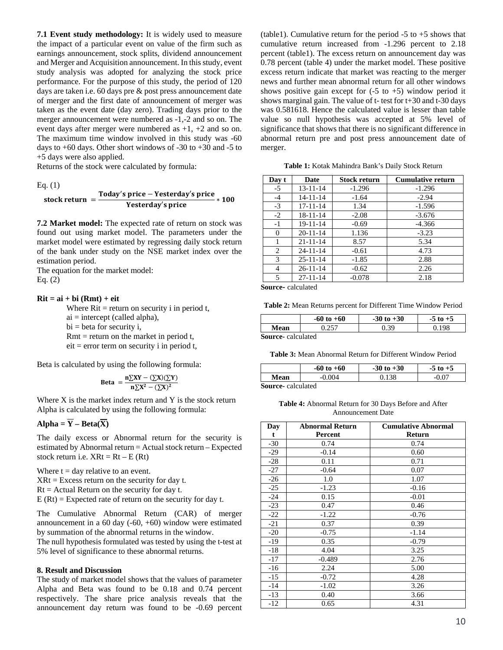**7.1 Event study methodology:** It is widely used to measure the impact of a particular event on value of the firm such as earnings announcement, stock splits, dividend announcement and Merger and Acquisition announcement. In this study, event study analysis was adopted for analyzing the stock price performance. For the purpose of this study, the period of 120 days are taken i.e. 60 days pre & post press announcement date of merger and the first date of announcement of merger was taken as the event date (day zero). Trading days prior to the merger announcement were numbered as -1,-2 and so on. The event days after merger were numbered as +1, +2 and so on. The maximum time window involved in this study was -60 days to +60 days. Other short windows of -30 to +30 and -5 to +5 days were also applied.

Returns of the stock were calculated by formula:

Eq. (1)

stock return 
$$
= \frac{\text{Today's price} - \text{Yesterday's price}}{\text{Yesterday's price}} * 100
$$

**7.2 Market model:** The expected rate of return on stock was found out using market model. The parameters under the market model were estimated by regressing daily stock return of the bank under study on the NSE market index over the estimation period.

The equation for the market model: Eq. (2)

 $Rit = ai + bi (Rmt) + eit$ 

Where  $\text{Rit} = \text{return on security } i$  in period t,  $ai =$  intercept (called alpha),  $bi = beta$  for security i,  $Rmt = return on the market in period t,$  $eit = error term on security i in period t,$ 

Beta is calculated by using the following formula:

$$
\text{Beta} = \frac{n\sum XY - (\sum X)(\sum Y)}{n\sum X^2 - (\sum X)^2}
$$

Where  $X$  is the market index return and  $Y$  is the stock return Alpha is calculated by using the following formula:

# $Alpha = \overline{Y} - Beta(\overline{X})$

The daily excess or Abnormal return for the security is estimated by Abnormal return = Actual stock return – Expected stock return i.e.  $XR = Rt - E (Rt)$ 

Where  $t = day$  relative to an event.  $XRt = Excess$  return on the security for day t.  $Rt =$  Actual Return on the security for day t.  $E(Rt) =$  Expected rate of return on the security for day t.

The Cumulative Abnormal Return (CAR) of merger announcement in a 60 day (-60, +60) window were estimated by summation of the abnormal returns in the window.

The null hypothesis formulated was tested by using the t-test at 5% level of significance to these abnormal returns.

#### **8. Result and Discussion**

The study of market model shows that the values of parameter Alpha and Beta was found to be 0.18 and 0.74 percent respectively. The share price analysis reveals that the announcement day return was found to be -0.69 percent

(table1). Cumulative return for the period  $-5$  to  $+5$  shows that cumulative return increased from -1.296 percent to 2.18 percent (table1). The excess return on announcement day was 0.78 percent (table 4) under the market model. These positive excess return indicate that market was reacting to the merger news and further mean abnormal return for all other windows shows positive gain except for  $(-5 \text{ to } +5)$  window period it shows marginal gain. The value of t- test for t+30 and t-30 days was 0.581618. Hence the calculated value is lesser than table value so null hypothesis was accepted at 5% level of significance that shows that there is no significant difference in abnormal return pre and post press announcement date of merger.

|  |  | Table 1: Kotak Mahindra Bank's Daily Stock Return |
|--|--|---------------------------------------------------|
|  |  |                                                   |

| Day t | Date           | <b>Stock return</b> | <b>Cumulative return</b> |
|-------|----------------|---------------------|--------------------------|
| $-5$  | $13 - 11 - 14$ | $-1.296$            | $-1.296$                 |
| $-4$  | $14 - 11 - 14$ | $-1.64$             | $-2.94$                  |
| $-3$  | $17 - 11 - 14$ | 1.34                | $-1.596$                 |
| $-2$  | $18 - 11 - 14$ | $-2.08$             | $-3.676$                 |
| $-1$  | 19-11-14       | $-0.69$             | $-4.366$                 |
| 0     | $20 - 11 - 14$ | 1.136               | $-3.23$                  |
|       | $21 - 11 - 14$ | 8.57                | 5.34                     |
| 2     | $24 - 11 - 14$ | $-0.61$             | 4.73                     |
| 3     | $25 - 11 - 14$ | $-1.85$             | 2.88                     |
| 4     | $26 - 11 - 14$ | $-0.62$             | 2.26                     |
| 5     | $27 - 11 - 14$ | $-0.078$            | 2.18                     |

**Source-** calculated

**Table 2:** Mean Returns percent for Different Time Window Period

|                   | $-60$ to $+60$ | $-30$ to $+30$ | $-5$ to $+5$ |
|-------------------|----------------|----------------|--------------|
| Mean              |                | 30<br>U.J      | 198          |
| Course coloulated |                |                |              |

**Source-** calculated

**Table 3:** Mean Abnormal Return for Different Window Period

|      | $-60$ to $+60$ | $-30$ to $+30$ | $-5$ to $+5$ |
|------|----------------|----------------|--------------|
| Mean | $-0.004$       | ).138          |              |
|      |                |                |              |

**Source-** calculated

**Table 4:** Abnormal Return for 30 Days Before and After Announcement Date

| Day<br>t | <b>Abnormal Return</b><br>Percent | <b>Cumulative Abnormal</b><br>Return |
|----------|-----------------------------------|--------------------------------------|
| $-30$    | 0.74                              | 0.74                                 |
| $-29$    | $-0.14$                           | 0.60                                 |
| $-28$    | 0.11                              | 0.71                                 |
| $-27$    | $-0.64$                           | 0.07                                 |
| $-26$    | 1.0                               | 1.07                                 |
| $-25$    | $-1.23$                           | $-0.16$                              |
| $-24$    | 0.15                              | $-0.01$                              |
| $-23$    | 0.47                              | 0.46                                 |
| $-22$    | $-1.22$                           | $-0.76$                              |
| $-21$    | 0.37                              | 0.39                                 |
| $-20$    | $-0.75$                           | $-1.14$                              |
| $-19$    | 0.35                              | $-0.79$                              |
| $-18$    | 4.04                              | 3.25                                 |
| $-17$    | $-0.489$                          | 2.76                                 |
| $-16$    | 2.24                              | 5.00                                 |
| $-15$    | $-0.72$                           | 4.28                                 |
| $-14$    | $-1.02$                           | 3.26                                 |
| $-13$    | 0.40                              | 3.66                                 |
| -12      | 0.65                              | 4.31                                 |